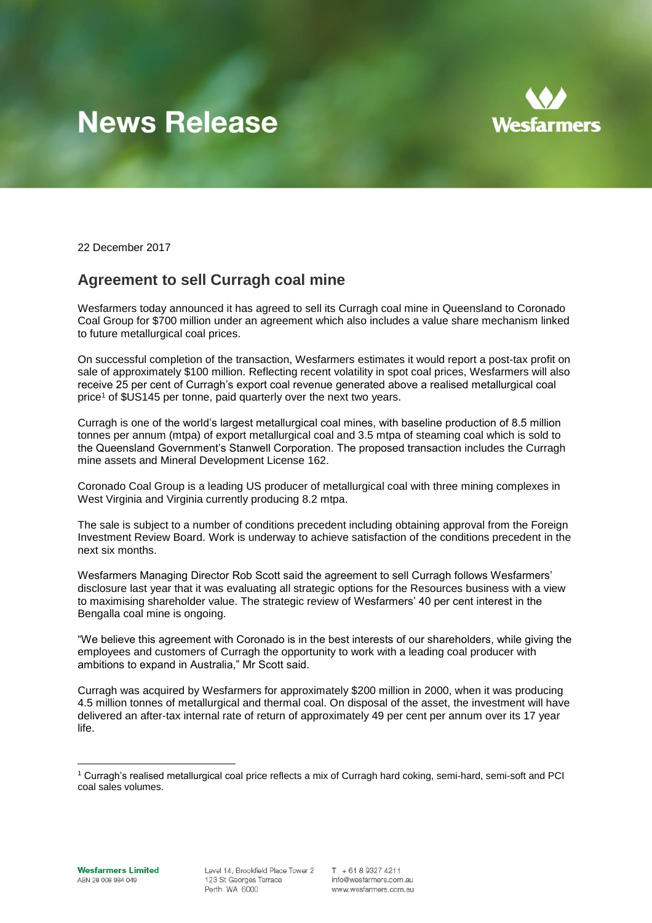# **News Release**



22 December 2017

## **Agreement to sell Curragh coal mine**

Wesfarmers today announced it has agreed to sell its Curragh coal mine in Queensland to Coronado Coal Group for \$700 million under an agreement which also includes a value share mechanism linked to future metallurgical coal prices.

On successful completion of the transaction, Wesfarmers estimates it would report a post-tax profit on sale of approximately \$100 million. Reflecting recent volatility in spot coal prices, Wesfarmers will also receive 25 per cent of Curragh's export coal revenue generated above a realised metallurgical coal price<sup>1</sup> of \$US145 per tonne, paid quarterly over the next two years.

Curragh is one of the world's largest metallurgical coal mines, with baseline production of 8.5 million tonnes per annum (mtpa) of export metallurgical coal and 3.5 mtpa of steaming coal which is sold to the Queensland Government's Stanwell Corporation. The proposed transaction includes the Curragh mine assets and Mineral Development License 162.

Coronado Coal Group is a leading US producer of metallurgical coal with three mining complexes in West Virginia and Virginia currently producing 8.2 mtpa.

The sale is subject to a number of conditions precedent including obtaining approval from the Foreign Investment Review Board. Work is underway to achieve satisfaction of the conditions precedent in the next six months.

Wesfarmers Managing Director Rob Scott said the agreement to sell Curragh follows Wesfarmers' disclosure last year that it was evaluating all strategic options for the Resources business with a view to maximising shareholder value. The strategic review of Wesfarmers' 40 per cent interest in the Bengalla coal mine is ongoing.

"We believe this agreement with Coronado is in the best interests of our shareholders, while giving the employees and customers of Curragh the opportunity to work with a leading coal producer with ambitions to expand in Australia," Mr Scott said.

Curragh was acquired by Wesfarmers for approximately \$200 million in 2000, when it was producing 4.5 million tonnes of metallurgical and thermal coal. On disposal of the asset, the investment will have delivered an after-tax internal rate of return of approximately 49 per cent per annum over its 17 year life.

 $\overline{a}$ 

<sup>1</sup> Curragh's realised metallurgical coal price reflects a mix of Curragh hard coking, semi-hard, semi-soft and PCI coal sales volumes.